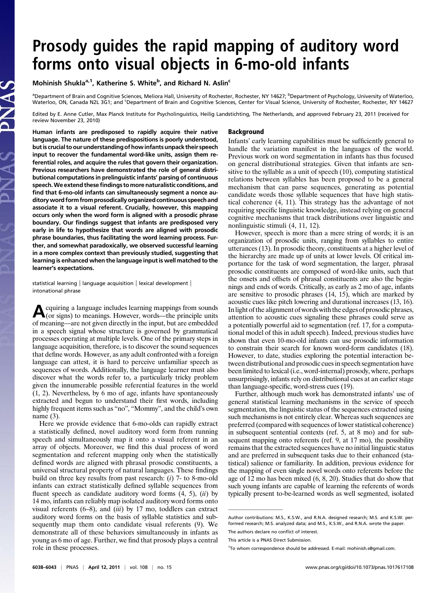# Prosody guides the rapid mapping of auditory word forms onto visual objects in 6-mo-old infants

Mohinish Shukla<sup>a, 1</sup>, Katherine S. White<sup>b</sup>, and Richard N. Aslin<sup>c</sup>

<sup>a</sup>Department of Brain and Cognitive Sciences, Meliora Hall, University of Rochester, Rochester, NY 14627; <sup>b</sup>Department of Psychology, University of Waterloo, Waterloo, ON, Canada N2L 3G1; and <sup>c</sup>Department of Brain and Cognitive Sciences, Center for Visual Science, University of Rochester, Rochester, NY 14627

Edited by E. Anne Cutler, Max Planck Institute for Psycholinguistics, Heilig Landstichting, The Netherlands, and approved February 23, 2011 (received for review November 23, 2010)

Human infants are predisposed to rapidly acquire their native language. The nature of these predispositions is poorly understood, but is crucial to our understanding of how infants unpack their speech input to recover the fundamental word-like units, assign them referential roles, and acquire the rules that govern their organization. Previous researchers have demonstrated the role of general distributional computations in prelinguistic infants' parsing of continuous speech. We extend these findings to more naturalistic conditions, and find that 6-mo-old infants can simultaneously segment a nonce auditoryword form from prosodically organized continuous speech and associate it to a visual referent. Crucially, however, this mapping occurs only when the word form is aligned with a prosodic phrase boundary. Our findings suggest that infants are predisposed very early in life to hypothesize that words are aligned with prosodic phrase boundaries, thus facilitating the word learning process. Further, and somewhat paradoxically, we observed successful learning in a more complex context than previously studied, suggesting that learning is enhanced when the language input is well matched to the learner's expectations.

statistical learning | language acquisition | lexical development | intonational phrase

Acquiring a language includes learning mappings from sounds (or signs) to meanings. However, words—the principle units of meaning—are not given directly in the input, but are embedded in a speech signal whose structure is governed by grammatical processes operating at multiple levels. One of the primary steps in language acquisition, therefore, is to discover the sound sequences that define words. However, as any adult confronted with a foreign language can attest, it is hard to perceive unfamiliar speech as sequences of words. Additionally, the language learner must also discover what the words refer to, a particularly tricky problem given the innumerable possible referential features in the world (1, 2). Nevertheless, by 6 mo of age, infants have spontaneously extracted and begun to understand their first words, including highly frequent items such as "no", "Mommy", and the child's own name (3).

Here we provide evidence that 6-mo-olds can rapidly extract a statistically defined, novel auditory word form from running speech and simultaneously map it onto a visual referent in an array of objects. Moreover, we find this dual process of word segmentation and referent mapping only when the statistically defined words are aligned with phrasal prosodic constituents, a universal structural property of natural languages. These findings build on three key results from past research: (i) 7- to 8-mo-old infants can extract statistically defined syllable sequences from fluent speech as candidate auditory word forms  $(4, 5)$ ,  $(ii)$  by 14 mo, infants can reliably map isolated auditory word forms onto visual referents  $(6-8)$ , and  $(iii)$  by 17 mo, toddlers can extract auditory word forms on the basis of syllable statistics and subsequently map them onto candidate visual referents (9). We demonstrate all of these behaviors simultaneously in infants as young as 6 mo of age. Further, we find that prosody plays a central role in these processes.

## Background

Infants' early learning capabilities must be sufficiently general to handle the variation manifest in the languages of the world. Previous work on word segmentation in infants has thus focused on general distributional strategies. Given that infants are sensitive to the syllable as a unit of speech (10), computing statistical relations between syllables has been proposed to be a general mechanism that can parse sequences, generating as potential candidate words those syllable sequences that have high statistical coherence (4, 11). This strategy has the advantage of not requiring specific linguistic knowledge, instead relying on general cognitive mechanisms that track distributions over linguistic and nonlinguistic stimuli (4, 11, 12).

However, speech is more than a mere string of words; it is an organization of prosodic units, ranging from syllables to entire utterances (13). In prosodic theory, constituents at a higher level of the hierarchy are made up of units at lower levels. Of critical importance for the task of word segmentation, the larger, phrasal prosodic constituents are composed of word-like units, such that the onsets and offsets of phrasal constituents are also the beginnings and ends of words. Critically, as early as 2 mo of age, infants are sensitive to prosodic phrases (14, 15), which are marked by acoustic cues like pitch lowering and durational increases (13, 16). Inlight of the alignment of words with the edges of prosodic phrases, attention to acoustic cues signaling these phrases could serve as a potentially powerful aid to segmentation (ref. 17, for a computational model of this in adult speech). Indeed, previous studies have shown that even 10-mo-old infants can use prosodic information to constrain their search for known word-form candidates (18). However, to date, studies exploring the potential interaction between distributional and prosodic cues in speech segmentation have been limited to lexical (i.e., word-internal) prosody, where, perhaps unsurprisingly, infants rely on distributional cues at an earlier stage than language-specific, word-stress cues (19).

Further, although much work has demonstrated infants' use of general statistical learning mechanisms in the service of speech segmentation, the linguistic status of the sequences extracted using such mechanisms is not entirely clear. Whereas such sequences are preferred (compared with sequences of lower statistical coherence) in subsequent sentential contexts (ref. 5, at 8 mo) and for subsequent mapping onto referents (ref. 9, at 17 mo), the possibility remains that the extracted sequences have no initial linguistic status and are preferred in subsequent tasks due to their enhanced (statistical) salience or familiarity. In addition, previous evidence for the mapping of even single novel words onto referents before the age of 12 mo has been mixed (6, 8, 20). Studies that do show that such young infants are capable of learning the referents of words typically present to-be-learned words as well segmented, isolated

Author contributions: M.S., K.S.W., and R.N.A. designed research; M.S. and K.S.W. performed research; M.S. analyzed data; and M.S., K.S.W., and R.N.A. wrote the paper.

The authors declare no conflict of interest.

This article is a PNAS Direct Submission.

<sup>&</sup>lt;sup>1</sup>To whom correspondence should be addressed. E-mail: [mohinish.s@gmail.com](mailto:mohinish.s@gmail.com).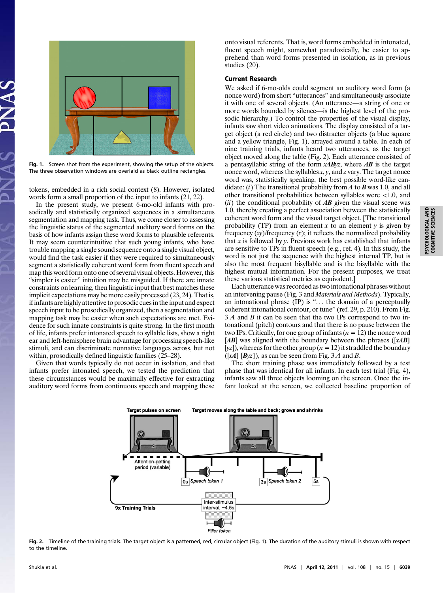

Fig. 1. Screen shot from the experiment, showing the setup of the objects. The three observation windows are overlaid as black outline rectangles.

tokens, embedded in a rich social context (8). However, isolated words form a small proportion of the input to infants (21, 22).

In the present study, we present 6-mo-old infants with prosodically and statistically organized sequences in a simultaneous segmentation and mapping task. Thus, we come closer to assessing the linguistic status of the segmented auditory word forms on the basis of how infants assign these word forms to plausible referents. It may seem counterintuitive that such young infants, who have trouble mapping a single sound sequence onto a single visual object, would find the task easier if they were required to simultaneously segment a statistically coherent word form from fluent speech and map this word form onto one of several visual objects. However, this "simpler is easier" intuition may be misguided. If there are innate constraints on learning, then linguistic input that best matches these implicit expectations may be more easily processed (23, 24). That is, if infants are highly attentive to prosodic cues in the input and expect speech input to be prosodically organized, then a segmentation and mapping task may be easier when such expectations are met. Evidence for such innate constraints is quite strong. In the first month of life, infants prefer intonated speech to syllable lists, show a right ear and left-hemisphere brain advantage for processing speech-like stimuli, and can discriminate nonnative languages across, but not within, prosodically defined linguistic families (25–28).

Given that words typically do not occur in isolation, and that infants prefer intonated speech, we tested the prediction that these circumstances would be maximally effective for extracting auditory word forms from continuous speech and mapping these onto visual referents. That is, word forms embedded in intonated, fluent speech might, somewhat paradoxically, be easier to apprehend than word forms presented in isolation, as in previous studies (20).

## Current Research

We asked if 6-mo-olds could segment an auditory word form (a nonce word) from short "utterances" and simultaneously associate it with one of several objects. (An utterance—a string of one or more words bounded by silence—is the highest level of the prosodic hierarchy.) To control the properties of the visual display, infants saw short video animations. The display consisted of a target object (a red circle) and two distracter objects (a blue square and a yellow triangle, Fig. 1), arrayed around a table. In each of nine training trials, infants heard two utterances, as the target object moved along the table (Fig. 2). Each utterance consisted of a pentasyllabic string of the form  $x \triangle B yz$ , where  $AB$  is the target nonce word, whereas the syllables  $x$ ,  $y$ , and  $z$  vary. The target nonce word was, statistically speaking, the best possible word-like candidate: (i) The transitional probability from  $A$  to  $B$  was 1.0, and all other transitional probabilities between syllables were <1.0, and (ii) the conditional probability of  $\overline{AB}$  given the visual scene was 1.0, thereby creating a perfect association between the statistically coherent word form and the visual target object. [The transitional probability (TP) from an element  $x$  to an element  $y$  is given by frequency  $(xy)$ /frequency  $(x)$ ; it reflects the normalized probability that  $x$  is followed by  $y$ . Previous work has established that infants are sensitive to TPs in fluent speech (e.g., ref. 4). In this study, the word is not just the sequence with the highest internal TP, but is also the most frequent bisyllable and is the bisyllable with the highest mutual information. For the present purposes, we treat these various statistical metrics as equivalent.]

Each utterance was recorded as two intonational phrases without an intervening pause (Fig. 3 and Materials and Methods). Typically, an intonational phrase (IP) is "... the domain of a perceptually coherent intonational contour, or tune" (ref. 29, p. 210). From Fig. 3 A and B it can be seen that the two IPs correspond to two intonational (pitch) contours and that there is no pause between the two IPs. Critically, for one group of infants  $(n = 12)$  the nonce word  $[AB]$  was aligned with the boundary between the phrases ( $[xAB]$ ) [yz]), whereas for the other group ( $n = 12$ ) it straddled the boundary  $([xA] [Byz])$ , as can be seen from Fig. 3 A and B.

The short training phase was immediately followed by a test phase that was identical for all infants. In each test trial (Fig. 4), infants saw all three objects looming on the screen. Once the infant looked at the screen, we collected baseline proportion of



Fig. 2. Timeline of the training trials. The target object is a patterned, red, circular object (Fig. 1). The duration of the auditory stimuli is shown with respect to the timeline.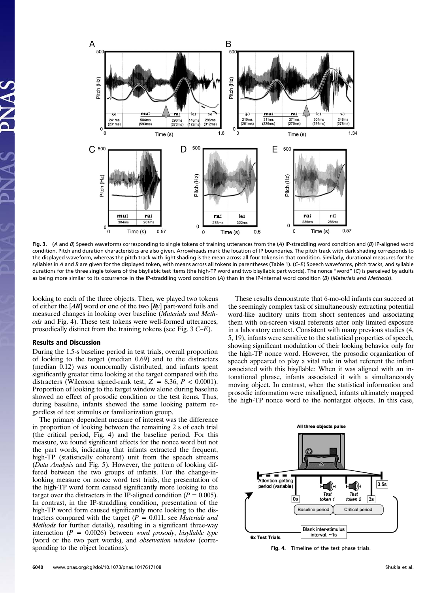

Fig. 3. (A and B) Speech waveforms corresponding to single tokens of training utterances from the (A) IP-straddling word condition and (B) IP-aligned word condition. Pitch and duration characteristics are also given. Arrowheads mark the location of IP boundaries. The pitch track with dark shading corresponds to the displayed waveform, whereas the pitch track with light shading is the mean across all four tokens in that condition. Similarly, durational measures for the syllables in A and B are given for the displayed token, with means across all tokens in parentheses (Table 1). (C–E) Speech waveforms, pitch tracks, and syllable durations for the three single tokens of the bisyllabic test items (the high-TP word and two bisyllabic part words). The nonce "word" (C) is perceived by adults as being more similar to its occurrence in the IP-straddling word condition (A) than in the IP-internal word condition (B) (Materials and Methods).

looking to each of the three objects. Then, we played two tokens of either the  $[AB]$  word or one of the two  $[By]$  part-word foils and measured changes in looking over baseline (Materials and Methods and Fig. 4). These test tokens were well-formed utterances, prosodically distinct from the training tokens (see Fig. 3 C–E).

## Results and Discussion

During the 1.5-s baseline period in test trials, overall proportion of looking to the target (median 0.69) and to the distracters (median 0.12) was nonnormally distributed, and infants spent significantly greater time looking at the target compared with the distracters (Wilcoxon signed-rank test,  $Z = 8.36$ ,  $P < 0.0001$ ). Proportion of looking to the target window alone during baseline showed no effect of prosodic condition or the test items. Thus, during baseline, infants showed the same looking pattern regardless of test stimulus or familiarization group.

The primary dependent measure of interest was the difference in proportion of looking between the remaining 2 s of each trial (the critical period, Fig. 4) and the baseline period. For this measure, we found significant effects for the nonce word but not the part words, indicating that infants extracted the frequent, high-TP (statistically coherent) unit from the speech streams (Data Analysis and Fig. 5). However, the pattern of looking differed between the two groups of infants. For the change-inlooking measure on nonce word test trials, the presentation of the high-TP word form caused significantly more looking to the target over the distracters in the IP-aligned condition ( $P = 0.005$ ). In contrast, in the IP-straddling condition, presentation of the high-TP word form caused significantly more looking to the distracters compared with the target  $(P = 0.011$ , see *Materials and* Methods for further details), resulting in a significant three-way interaction ( $P = 0.0026$ ) between *word prosody*, *bisyllable type* (word or the two part words), and observation window (corresponding to the object locations).

These results demonstrate that 6-mo-old infants can succeed at the seemingly complex task of simultaneously extracting potential word-like auditory units from short sentences and associating them with on-screen visual referents after only limited exposure in a laboratory context. Consistent with many previous studies (4, 5, 19), infants were sensitive to the statistical properties of speech, showing significant modulation of their looking behavior only for the high-TP nonce word. However, the prosodic organization of speech appeared to play a vital role in what referent the infant associated with this bisyllable: When it was aligned with an intonational phrase, infants associated it with a simultaneously moving object. In contrast, when the statistical information and prosodic information were misaligned, infants ultimately mapped the high-TP nonce word to the nontarget objects. In this case,



Fig. 4. Timeline of the test phase trials.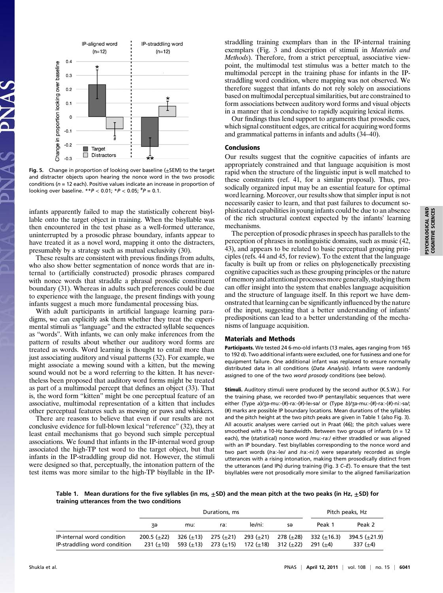

Fig. 5. Change in proportion of looking over baseline  $(\pm$ SEM) to the target and distracter objects upon hearing the nonce word in the two prosodic conditions ( $n = 12$  each). Positive values indicate an increase in proportion of looking over baseline.  $*P < 0.01$ ;  $*P < 0.05$ ;  $*P = 0.1$ .

infants apparently failed to map the statistically coherent bisyllable onto the target object in training. When the bisyllable was then encountered in the test phase as a well-formed utterance, uninterrupted by a prosodic phrase boundary, infants appear to have treated it as a novel word, mapping it onto the distracters, presumably by a strategy such as mutual exclusivity (30).

These results are consistent with previous findings from adults, who also show better segmentation of nonce words that are internal to (artificially constructed) prosodic phrases compared with nonce words that straddle a phrasal prosodic constituent boundary (31). Whereas in adults such preferences could be due to experience with the language, the present findings with young infants suggest a much more fundamental processing bias.

With adult participants in artificial language learning paradigms, we can explicitly ask them whether they treat the experimental stimuli as "language" and the extracted syllable sequences as "words". With infants, we can only make inferences from the pattern of results about whether our auditory word forms are treated as words. Word learning is thought to entail more than just associating auditory and visual patterns (32). For example, we might associate a mewing sound with a kitten, but the mewing sound would not be a word referring to the kitten. It has nevertheless been proposed that auditory word forms might be treated as part of a multimodal percept that defines an object (33). That is, the word form "kitten" might be one perceptual feature of an associative, multimodal representation of a kitten that includes other perceptual features such as mewing or paws and whiskers.

There are reasons to believe that even if our results are not conclusive evidence for full-blown lexical "reference" (32), they at least entail mechanisms that go beyond such simple perceptual associations. We found that infants in the IP-internal word group associated the high-TP test word to the target object, but that infants in the IP-straddling group did not. However, the stimuli were designed so that, perceptually, the intonation pattern of the test items was more similar to the high-TP bisyllable in the IP-

straddling training exemplars than in the IP-internal training exemplars (Fig. 3 and description of stimuli in Materials and Methods). Therefore, from a strict perceptual, associative viewpoint, the multimodal test stimulus was a better match to the multimodal percept in the training phase for infants in the IPstraddling word condition, where mapping was not observed. We therefore suggest that infants do not rely solely on associations based on multimodal perceptual similarities, but are constrained to form associations between auditory word forms and visual objects in a manner that is conducive to rapidly acquiring lexical items.

Our findings thus lend support to arguments that prosodic cues, which signal constituent edges, are critical for acquiring word forms and grammatical patterns in infants and adults (34–40).

#### Conclusions

Our results suggest that the cognitive capacities of infants are appropriately constrained and that language acquisition is most rapid when the structure of the linguistic input is well matched to these constraints (ref. 41, for a similar proposal). Thus, prosodically organized input may be an essential feature for optimal word learning. Moreover, our results show that simpler input is not necessarily easier to learn, and that past failures to document sophisticated capabilities in young infants could be due to an absence of the rich structural context expected by the infants' learning mechanisms.

The perception of prosodic phrases in speech has parallels to the perception of phrases in nonlinguistic domains, such as music (42, 43), and appears to be related to basic perceptual grouping principles (refs. 44 and 45, for review). To the extent that the language faculty is built up from or relies on phylogenetically preexisting cognitive capacities such as these grouping principles or the nature of memory and attentional processes more generally, studying them can offer insight into the system that enables language acquisition and the structure of language itself. In this report we have demonstrated that learning can be significantly influenced by the nature of the input, suggesting that a better understanding of infants' predispositions can lead to a better understanding of the mechanisms of language acquisition.

### Materials and Methods

Participants. We tested 24 6-mo-old infants (13 males, ages ranging from 165 to 192 d). Two additional infants were excluded, one for fussiness and one for equipment failure. One additional infant was replaced to ensure normally distributed data in all conditions (Data Analysis). Infants were randomly assigned to one of the two word prosody conditions (see below).

Stimuli. Auditory stimuli were produced by the second author (K.S.W.). For the training phase, we recorded two-IP pentasyllabic sequences that were either (Type a)/ʒə-muː-(#)-raː-(#)-leI-sə/ or (Type b)/ʒə-muː-(#)-raː-(#)-niː-sə/; (#) marks are possible IP boundary locations. Mean durations of the syllables and the pitch height at the two pitch peaks are given in Table 1 (also Fig. 3). All acoustic analyses were carried out in Praat (46); the pitch values were smoothed with a 10-Hz bandwidth. Between two groups of infants ( $n = 12$ ) each), the (statistical) nonce word /muː-raː/ either straddled or was aligned with an IP boundary. Test bisyllables corresponding to the nonce word and two part words (/raː-lei/ and /raː-niː/) were separately recorded as single utterances with a rising intonation, making them prosodically distinct from the utterances (and IPs) during training (Fig. 3 C–E). To ensure that the test bisyllables were not prosodically more similar to the aligned familiarization

Table 1. Mean durations for the five syllables (in ms,  $\pm$ SD) and the mean pitch at the two peaks (in Hz,  $\pm$ SD) for training utterances from the two conditions

|                                                            | Durations, ms                |                                    |           |                                |           | Pitch peaks, Hz         |                             |
|------------------------------------------------------------|------------------------------|------------------------------------|-----------|--------------------------------|-----------|-------------------------|-----------------------------|
|                                                            | κэ                           | mu:                                | ra:       | levni:                         | sə        | Peak 1                  | Peak 2                      |
| IP-internal word condition<br>IP-straddling word condition | $200.5 (+22)$<br>$231 (+10)$ | $326 (+13) 275 (+21)$<br>593 (+13) | 273 (+15) | 293(±21) 278(±28)<br>172 (+18) | 312 (+22) | 332 (+16.3)<br>291 (+4) | 394.5 (+21.9)<br>$337 (+4)$ |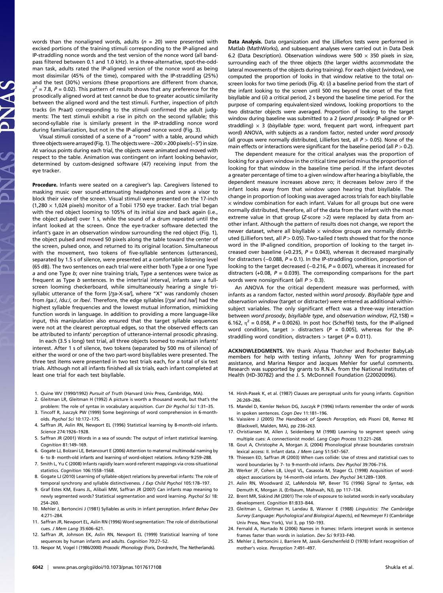words than the nonaligned words, adults ( $n = 20$ ) were presented with excised portions of the training stimuli corresponding to the IP-aligned and IP-straddling nonce words and the test version of the nonce word (all bandpass filtered between 0.1 and 1.0 kHz). In a three-alternative, spot-the-oddman task, adults rated the IP-aligned version of the nonce word as being most dissimilar (45% of the time), compared with the IP-straddling (25%) and the test (30%) versions (these proportions are different from chance,  $\gamma^2$  = 7.8, P = 0.02). This pattern of results shows that any preference for the prosodically aligned word at test cannot be due to greater acoustic similarity between the aligned word and the test stimuli. Further, inspection of pitch tracks (in Praat) corresponding to the stimuli confirmed the adult judgments: The test stimuli exhibit a rise in pitch on the second syllable; this second-syllable rise is similarly present in the IP-straddling nonce word during familiarization, but not in the IP-aligned nonce word (Fig. 3).

Visual stimuli consisted of a scene of a "room" with a table, around which three objectswere arrayed (Fig. 1). The objects were∼200×200 pixels (∼5°) in size. At various points during each trial, the objects were animated and moved with respect to the table. Animation was contingent on infant looking behavior, determined by custom-designed software (47) receiving input from the eye tracker.

Procedure. Infants were seated on a caregiver's lap. Caregivers listened to masking music over sound-attenuating headphones and wore a visor to block their view of the screen. Visual stimuli were presented on the 17-inch (1,280  $\times$  1,024 pixels) monitor of a Tobii 1750 eye tracker. Each trial began with the red object looming to 105% of its initial size and back again (i.e., the object pulsed) over 1 s, while the sound of a drum repeated until the infant looked at the screen. Once the eye-tracker software detected the infant's gaze in an observation window surrounding the red object (Fig. 1), the object pulsed and moved 50 pixels along the table toward the center of the screen, pulsed once, and returned to its original location. Simultaneous with the movement, two tokens of five-syllable sentences (utterances), separated by 1.5 s of silence, were presented at a comfortable listening level (65 dB). The two sentences on each trial were either both Type a or one Type a and one Type b; over nine training trials, Type a sentences were twice as frequent as Type *b* sentences. In the intertrial interval, infants saw a fullscreen looming checkerboard, while simultaneously hearing a single trisyllabic utterance of the form [/ʒə-X-sə/], where "X" was randomly chosen from /gaː/, /duː/, or /bei/. Therefore, the edge syllables [/ʒə/ and /sə/] had the highest syllable frequencies and the lowest mutual information, mimicking function words in language. In addition to providing a more language-like input, this manipulation also ensured that the target syllable sequences were not at the clearest perceptual edges, so that the observed effects can be attributed to infants' perception of utterance-internal prosodic phrasing.

In each (3.5 s long) test trial, all three objects loomed to maintain infants' interest. After 1 s of silence, two tokens (separated by 500 ms of silence) of either the word or one of the two part-word bisyllables were presented. The three test items were presented in two test trials each, for a total of six test trials. Although not all infants finished all six trials, each infant completed at least one trial for each test bisyllable.

- 1. Quine WV (1990/1992) Pursuit of Truth (Harvard Univ Press, Cambridge, MA).
- 2. Gleitman LR, Gleitman H (1992) A picture is worth a thousand words, but that's the problem: The role of syntax in vocabulary acquisition. Curr Dir Psychol Sci 1:31–35.
- 3. Tincoff R, Jusczyk PW (1999) Some beginnings of word comprehension in 6-montholds. Psychol Sci 10:172–175.
- 4. Saffran JR, Aslin RN, Newport EL (1996) Statistical learning by 8-month-old infants. Science 274:1926–1928.
- 5. Saffran JR (2001) Words in a sea of sounds: The output of infant statistical learning. Cognition 81:149–169.
- 6. Gogate LJ, Bolzani LE, Betancourt E (2006) Attention to maternal multimodal naming by 6- to 8- month-old infants and learning of word-object relations. Infancy 9:259–288.
- 7. Smith L, Yu C (2008) Infants rapidly learn word-referent mappings via cross-situational statistics. Cognition 106:1558–1568.
- 8. Gogate LJ (2010) Learning of syllable-object relations by preverbal infants: The role of temporal synchrony and syllable distinctiveness. J Exp Child Psychol 105:178-197.
- 9. Graf Estes KM, Evans JL, Alibali MW, Saffran JR (2007) Can infants map meaning to newly segmented words? Statistical segmentation and word learning. Psychol Sci 18: 254–260.
- 10. Mehler J, Bertoncini J (1981) Syllables as units in infant perception. Infant Behav Dev 4:271–284.
- 11. Saffran JR, Newport EL, Aslin RN (1996) Word segmentation: The role of distributional cues. J Mem Lang 35:606–621.
- 12. Saffran JR, Johnson EK, Aslin RN, Newport EL (1999) Statistical learning of tone sequences by human infants and adults. Cognition 70:27-52.
- 13. Nespor M, Vogel I (1986/2000) Prosodic Phonology (Foris, Dordrecht, The Netherlands).

Data Analysis. Data organization and the Lilliefors tests were performed in Matlab (MathWorks), and subsequent analyses were carried out in Data Desk 6.2 (Data Description). Observation windows were 500  $\times$  350 pixels in size, surrounding each of the three objects (the larger widths accommodate the lateral movements of the objects during training). For each object (window), we computed the proportion of looks in that window relative to the total onscreen looks for two time periods (Fig. 4):  $(i)$  a baseline period from the start of the infant looking to the screen until 500 ms beyond the onset of the first bisyllable and (ii) a critical period, 2 s beyond the baseline time period. For the purpose of comparing equivalent-sized windows, looking proportions to the two distracter objects were averaged. Proportion of looking to the target window during baseline was submitted to a 2 (word prosody: IP-aligned or IPstraddling)  $\times$  3 (bisyllable type: word, frequent part word, infrequent part word) ANOVA, with subjects as a random factor, nested under word prosody (all groups were normally distributed, Lilliefors test, all  $P > 0.05$ ). None of the main effects or interactions were significant for the baseline period (all  $P > 0.2$ ).

The dependent measure for the critical analyses was the proportion of looking for a given window in the critical time period minus the proportion of looking for that window in the baseline time period. If the infant devotes a greater percentage of time to a given window after hearing a bisyllable, the dependent measure increases above zero; it decreases below zero if the infant looks away from that window upon hearing that bisyllable. The change in proportion of looking was averaged across trials for each bisyllable  $\times$  window combination for each infant. Values for all groups but one were normally distributed, therefore, all of the data from the infant with the most extreme value in that group (Z-score >2) were replaced by data from another infant. Although the pattern of results does not change, we report the newer dataset, where all bisyllable  $\times$  window groups are normally distributed (Lilliefors test, all  $P > 0.05$ ). Two-tailed t tests showed that for the nonce word in the IP-aligned condition, proportion of looking to the target increased over baseline (+0.235,  $P = 0.043$ ), whereas it decreased marginally for distracters (−0.088, P = 0.1). In the IP-straddling condition, proportion of looking to the target decreased (−0.216, P = 0.007), whereas it increased for distracters (+0.08,  $P = 0.039$ ). The corresponding comparisons for the part words were nonsignificant (all  $P > 0.3$ ).

An ANOVA for the critical dependent measure was performed, with infants as a random factor, nested within word prosody. Bisyllable type and observation window (target or distracter) were entered as additional withinsubject variables. The only significant effect was a three-way interaction between word prosody, bisyllable type, and observation window, F(2,158) = 6.162,  $\eta^2$  = 0.058, P = 0.0026). In post hoc (Scheffé) tests, for the IP-aligned word condition, target > distracters ( $P = 0.005$ ), whereas for the IPstraddling word condition, distracters  $>$  target ( $P = 0.011$ ).

ACKNOWLEDGMENTS. We thank Alyssa Thatcher and Rochester BabyLab members for help with testing infants, Johnny Wen for programming assistance, and Marina Nespor and Jacques Mehler for useful comments. Research was supported by grants to R.N.A. from the National Institutes of Health (HD-30782) and the J. S. McDonnell Foundation (220020096).

- 14. Hirsh-Pasek K, et al. (1987) Clauses are perceptual units for young infants. Cognition 26:269–286.
- 15. Mandel D, Kemler Nelson DG, Jusczyk P (1996) Infants remember the order of words in spoken sentences. Cogn Dev 11:181–196.
- 16. Vaissière J (2005) The Handbook of Speech Perception, eds Pisoni DB, Remez RE (Blackwell, Malden, MA), pp 236–263.
- 17. Christiansen M, Allen J, Seidenberg M (1998) Learning to segment speech using multiple cues: A connectionist model. Lang Cogn Process 13:221–268.
- 18. Gout A, Christophe A, Morgan JL (2004) Phonological phrase boundaries constrain lexical access: II. Infant data. J Mem Lang 51:547–567.
- 19. Thiessen ED, Saffran JR (2003) When cues collide: Use of stress and statistical cues to word boundaries by 7- to 9-month-old infants. Dev Psychol 39:706–716.
- 20. Werker JF, Cohen LB, Lloyd VL, Casasola M, Stager CL (1998) Acquisition of wordobject associations by 14-month-old infants. Dev Psychol 34:1289–1309.
- 21. Aslin RN, Woodward JZ, LaMendola NP, Bever TG (1996) Signal to Syntax, eds Demuth K, Morgan JL (Erlbaum, Mahwah, NJ), pp 117–134.
- 22. Brent MR, Siskind JM (2001) The role of exposure to isolated words in early vocabulary development. Cognition 81:B33–B44.
- 23. Gleitman L, Gleitman H, Landau B, Wanner E (1988) Linguistics: The Cambridge Survey (Language: Psychological and Biological Aspects), ed Newmeyer FJ (Cambridge Univ Press, New York), Vol 3, pp 150–193.
- 24. Fernald A, Hurtado N (2006) Names in frames: Infants interpret words in sentence frames faster than words in isolation. Dev Sci 9:F33–F40.
- 25. Mehler J, Bertoncini J, Barriere M, Jassik-Gerschenfeld D (1978) Infant recognition of mother's voice. Perception 7:491–497.